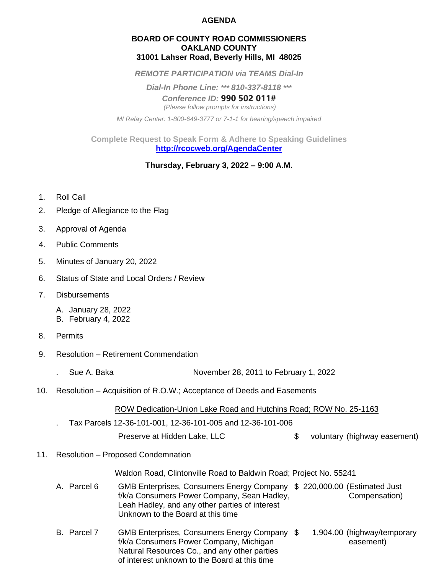### **AGENDA**

### **BOARD OF COUNTY ROAD COMMISSIONERS OAKLAND COUNTY 31001 Lahser Road, Beverly Hills, MI 48025**

*REMOTE PARTICIPATION via TEAMS Dial-In*

*Dial-In Phone Line: \*\*\* 810-337-8118 \*\*\**

*Conference ID:* **990 502 011#** *(Please follow prompts for instructions)*

*MI Relay Center: 1-800-649-3777 or 7-1-1 for hearing/speech impaired*

**Complete Request to Speak Form & Adhere to Speaking Guidelines <http://rcocweb.org/AgendaCenter>**

# **Thursday, February 3, 2022 – 9:00 A.M.**

- 1. Roll Call
- 2. Pledge of Allegiance to the Flag
- 3. Approval of Agenda
- 4. Public Comments
- 5. Minutes of January 20, 2022
- 6. Status of State and Local Orders / Review
- 7. Disbursements
	- A. January 28, 2022
	- B. February 4, 2022
- 8. Permits
- 9. Resolution Retirement Commendation
	- . Sue A. Baka **November 28, 2011 to February 1, 2022**
- 10. Resolution Acquisition of R.O.W.; Acceptance of Deeds and Easements

ROW Dedication-Union Lake Road and Hutchins Road; ROW No. 25-1163

. Tax Parcels 12-36-101-001, 12-36-101-005 and 12-36-101-006

Preserve at Hidden Lake, LLC  $\qquad \qquad \text{$} \qquad \text{voluntary (highway easement)}$ 

11. Resolution – Proposed Condemnation

### Waldon Road, Clintonville Road to Baldwin Road; Project No. 55241

- A. Parcel 6 GMB Enterprises, Consumers Energy Company \$ 220,000.00 (Estimated Just f/k/a Consumers Power Company, Sean Hadley, Compensation Leah Hadley, and any other parties of interest Unknown to the Board at this time
- B. Parcel 7 GMB Enterprises, Consumers Energy Company \$ 1,904.00 (highway/temporary f/k/a Consumers Power Company, Michigan easement) Natural Resources Co., and any other parties of interest unknown to the Board at this time